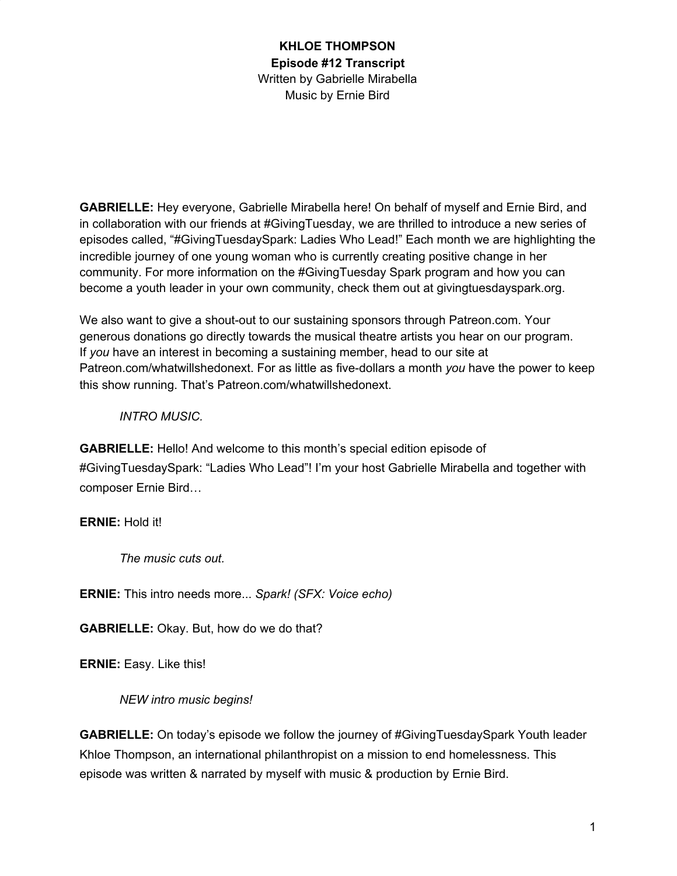**GABRIELLE:** Hey everyone, Gabrielle Mirabella here! On behalf of myself and Ernie Bird, and in collaboration with our friends at #GivingTuesday, we are thrilled to introduce a new series of episodes called, "#GivingTuesdaySpark: Ladies Who Lead!" Each month we are highlighting the incredible journey of one young woman who is currently creating positive change in her community. For more information on the #GivingTuesday Spark program and how you can become a youth leader in your own community, check them out at givingtuesdayspark.org.

We also want to give a shout-out to our sustaining sponsors through Patreon.com. Your generous donations go directly towards the musical theatre artists you hear on our program. If *you* have an interest in becoming a sustaining member, head to our site at Patreon.com/whatwillshedonext. For as little as five-dollars a month *you* have the power to keep this show running. That's Patreon.com/whatwillshedonext.

#### *INTRO MUSIC.*

**GABRIELLE:** Hello! And welcome to this month's special edition episode of #GivingTuesdaySpark: "Ladies Who Lead"! I'm your host Gabrielle Mirabella and together with composer Ernie Bird…

#### **ERNIE:** Hold it!

*The music cuts out.*

**ERNIE:** This intro needs more... *Spark! (SFX: Voice echo)*

**GABRIELLE:** Okay. But, how do we do that?

**ERNIE:** Easy. Like this!

*NEW intro music begins!*

**GABRIELLE:** On today's episode we follow the journey of #GivingTuesdaySpark Youth leader Khloe Thompson, an international philanthropist on a mission to end homelessness. This episode was written & narrated by myself with music & production by Ernie Bird.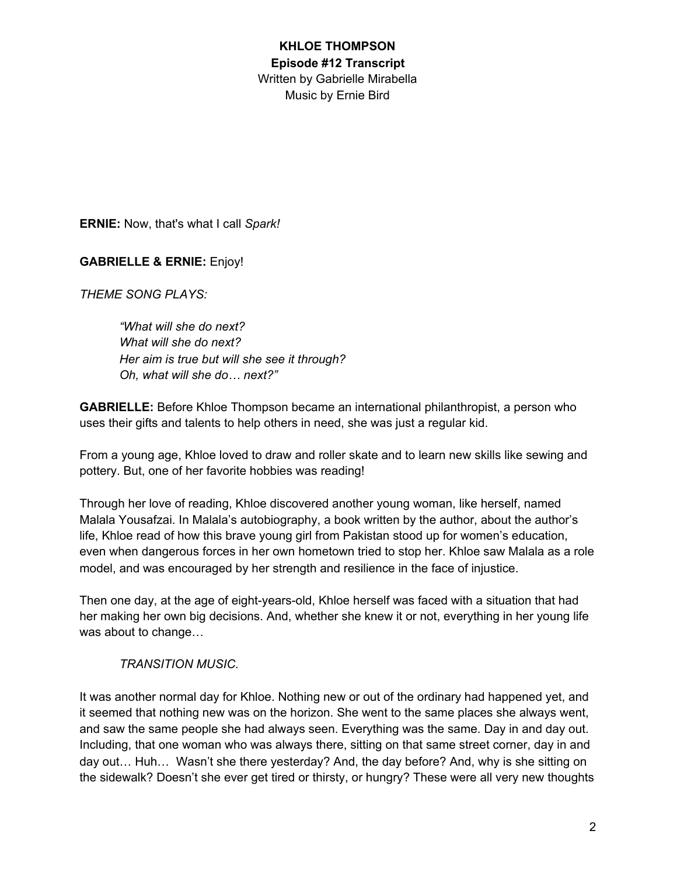**ERNIE:** Now, that's what I call *Spark!*

**GABRIELLE & ERNIE:** Enjoy!

*THEME SONG PLAYS:*

*"What will she do next? What will she do next? Her aim is true but will she see it through? Oh, what will she do… next?"*

**GABRIELLE:** Before Khloe Thompson became an international philanthropist, a person who uses their gifts and talents to help others in need, she was just a regular kid.

From a young age, Khloe loved to draw and roller skate and to learn new skills like sewing and pottery. But, one of her favorite hobbies was reading!

Through her love of reading, Khloe discovered another young woman, like herself, named Malala Yousafzai. In Malala's autobiography, a book written by the author, about the author's life, Khloe read of how this brave young girl from Pakistan stood up for women's education, even when dangerous forces in her own hometown tried to stop her. Khloe saw Malala as a role model, and was encouraged by her strength and resilience in the face of injustice.

Then one day, at the age of eight-years-old, Khloe herself was faced with a situation that had her making her own big decisions. And, whether she knew it or not, everything in her young life was about to change…

#### *TRANSITION MUSIC.*

It was another normal day for Khloe. Nothing new or out of the ordinary had happened yet, and it seemed that nothing new was on the horizon. She went to the same places she always went, and saw the same people she had always seen. Everything was the same. Day in and day out. Including, that one woman who was always there, sitting on that same street corner, day in and day out… Huh… Wasn't she there yesterday? And, the day before? And, why is she sitting on the sidewalk? Doesn't she ever get tired or thirsty, or hungry? These were all very new thoughts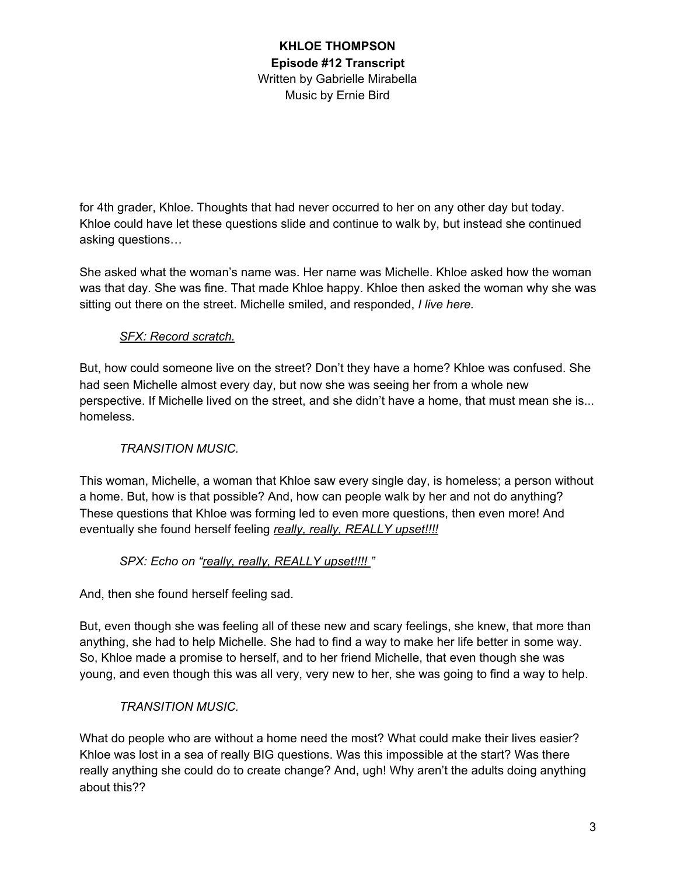for 4th grader, Khloe. Thoughts that had never occurred to her on any other day but today. Khloe could have let these questions slide and continue to walk by, but instead she continued asking questions…

She asked what the woman's name was. Her name was Michelle. Khloe asked how the woman was that day. She was fine. That made Khloe happy. Khloe then asked the woman why she was sitting out there on the street. Michelle smiled, and responded, *I live here.*

# *SFX: Record scratch.*

But, how could someone live on the street? Don't they have a home? Khloe was confused. She had seen Michelle almost every day, but now she was seeing her from a whole new perspective. If Michelle lived on the street, and she didn't have a home, that must mean she is... homeless.

# *TRANSITION MUSIC.*

This woman, Michelle, a woman that Khloe saw every single day, is homeless; a person without a home. But, how is that possible? And, how can people walk by her and not do anything? These questions that Khloe was forming led to even more questions, then even more! And eventually she found herself feeling *really, really, REALLY upset!!!!*

# *SPX: Echo on "really, really, REALLY upset!!!! "*

And, then she found herself feeling sad.

But, even though she was feeling all of these new and scary feelings, she knew, that more than anything, she had to help Michelle. She had to find a way to make her life better in some way. So, Khloe made a promise to herself, and to her friend Michelle, that even though she was young, and even though this was all very, very new to her, she was going to find a way to help.

# *TRANSITION MUSIC.*

What do people who are without a home need the most? What could make their lives easier? Khloe was lost in a sea of really BIG questions. Was this impossible at the start? Was there really anything she could do to create change? And, ugh! Why aren't the adults doing anything about this??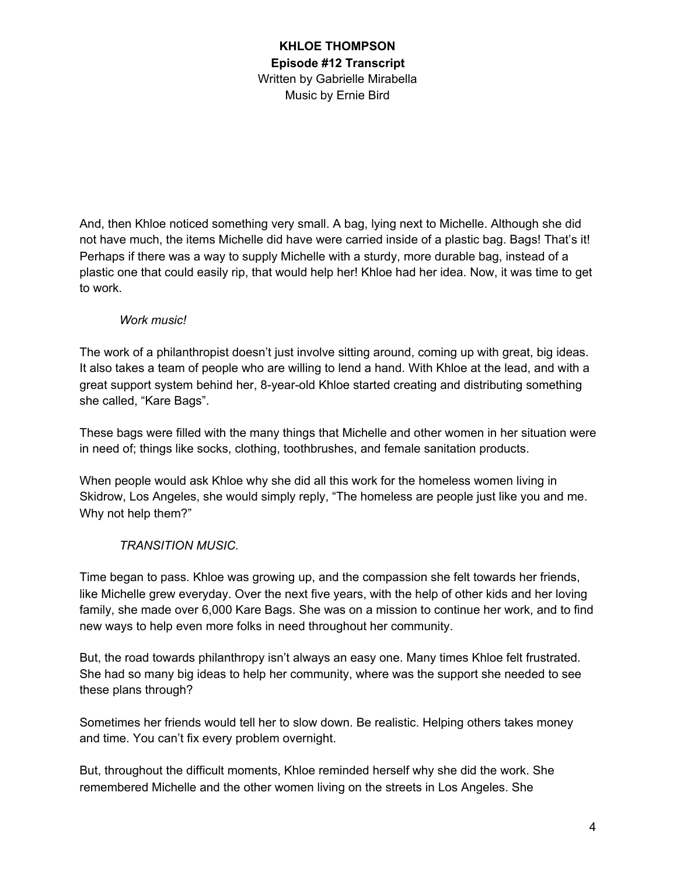And, then Khloe noticed something very small. A bag, lying next to Michelle. Although she did not have much, the items Michelle did have were carried inside of a plastic bag. Bags! That's it! Perhaps if there was a way to supply Michelle with a sturdy, more durable bag, instead of a plastic one that could easily rip, that would help her! Khloe had her idea. Now, it was time to get to work.

#### *Work music!*

The work of a philanthropist doesn't just involve sitting around, coming up with great, big ideas. It also takes a team of people who are willing to lend a hand. With Khloe at the lead, and with a great support system behind her, 8-year-old Khloe started creating and distributing something she called, "Kare Bags".

These bags were filled with the many things that Michelle and other women in her situation were in need of; things like socks, clothing, toothbrushes, and female sanitation products.

When people would ask Khloe why she did all this work for the homeless women living in Skidrow, Los Angeles, she would simply reply, "The homeless are people just like you and me. Why not help them?"

#### *TRANSITION MUSIC.*

Time began to pass. Khloe was growing up, and the compassion she felt towards her friends, like Michelle grew everyday. Over the next five years, with the help of other kids and her loving family, she made over 6,000 Kare Bags. She was on a mission to continue her work, and to find new ways to help even more folks in need throughout her community.

But, the road towards philanthropy isn't always an easy one. Many times Khloe felt frustrated. She had so many big ideas to help her community, where was the support she needed to see these plans through?

Sometimes her friends would tell her to slow down. Be realistic. Helping others takes money and time. You can't fix every problem overnight.

But, throughout the difficult moments, Khloe reminded herself why she did the work. She remembered Michelle and the other women living on the streets in Los Angeles. She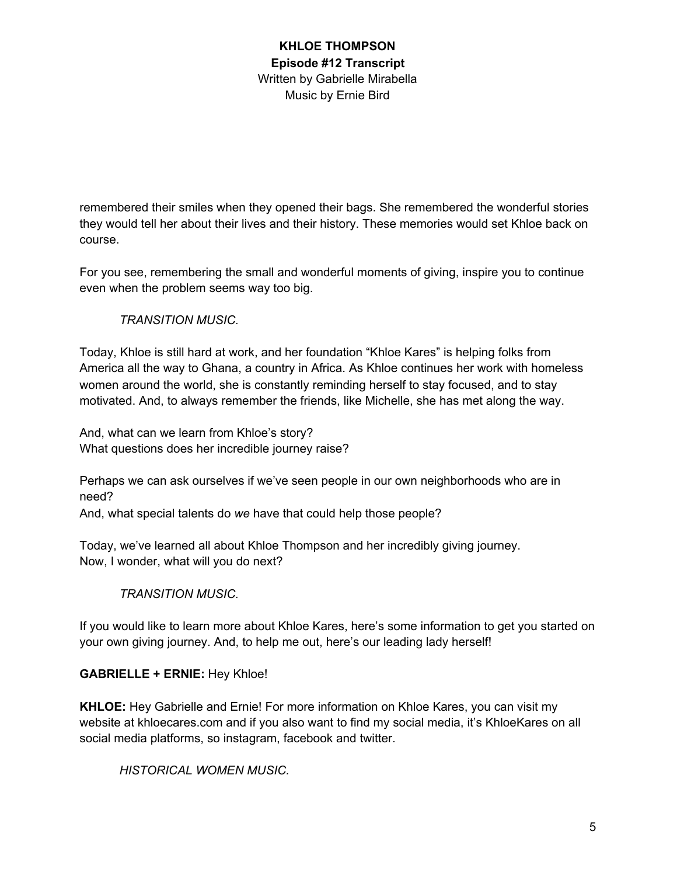remembered their smiles when they opened their bags. She remembered the wonderful stories they would tell her about their lives and their history. These memories would set Khloe back on course.

For you see, remembering the small and wonderful moments of giving, inspire you to continue even when the problem seems way too big.

### *TRANSITION MUSIC.*

Today, Khloe is still hard at work, and her foundation "Khloe Kares" is helping folks from America all the way to Ghana, a country in Africa. As Khloe continues her work with homeless women around the world, she is constantly reminding herself to stay focused, and to stay motivated. And, to always remember the friends, like Michelle, she has met along the way.

And, what can we learn from Khloe's story? What questions does her incredible journey raise?

Perhaps we can ask ourselves if we've seen people in our own neighborhoods who are in need?

And, what special talents do *we* have that could help those people?

Today, we've learned all about Khloe Thompson and her incredibly giving journey. Now, I wonder, what will you do next?

#### *TRANSITION MUSIC.*

If you would like to learn more about Khloe Kares, here's some information to get you started on your own giving journey. And, to help me out, here's our leading lady herself!

#### **GABRIELLE + ERNIE:** Hey Khloe!

**KHLOE:** Hey Gabrielle and Ernie! For more information on Khloe Kares, you can visit my website at khloecares.com and if you also want to find my social media, it's KhloeKares on all social media platforms, so instagram, facebook and twitter.

*HISTORICAL WOMEN MUSIC.*